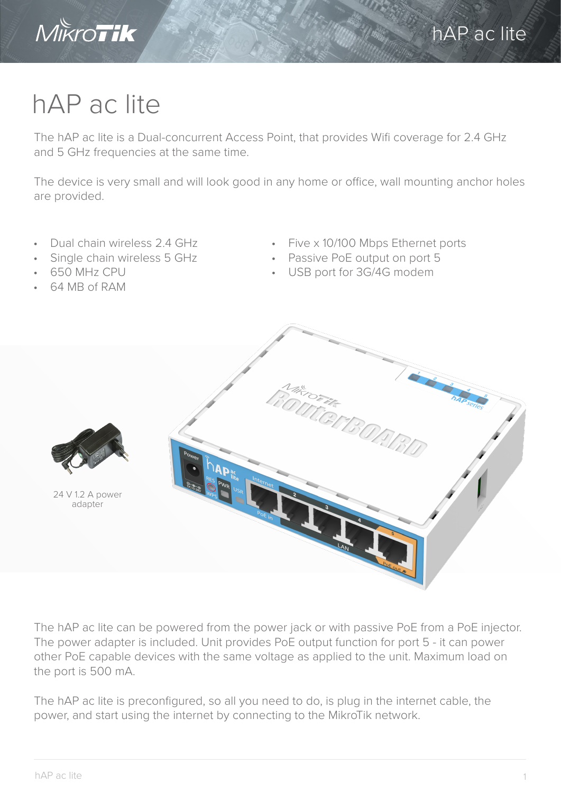

## hAP ac lite

The hAP ac lite is a Dual-concurrent Access Point, that provides Wifi coverage for 2.4 GHz and 5 GHz frequencies at the same time.

The device is very small and will look good in any home or office, wall mounting anchor holes are provided.

- Dual chain wireless 2.4 GHz
- Single chain wireless 5 GHz
- 650 MHz CPU
- 64 MB of RAM
- Five x 10/100 Mbps Ethernet ports
- Passive PoE output on port 5
- USB port for 3G/4G modem



The hAP ac lite can be powered from the power jack or with passive PoE from a PoE injector. The power adapter is included. Unit provides PoE output function for port 5 - it can power other PoE capable devices with the same voltage as applied to the unit. Maximum load on the port is 500 mA.

The hAP ac lite is preconfigured, so all you need to do, is plug in the internet cable, the power, and start using the internet by connecting to the MikroTik network.